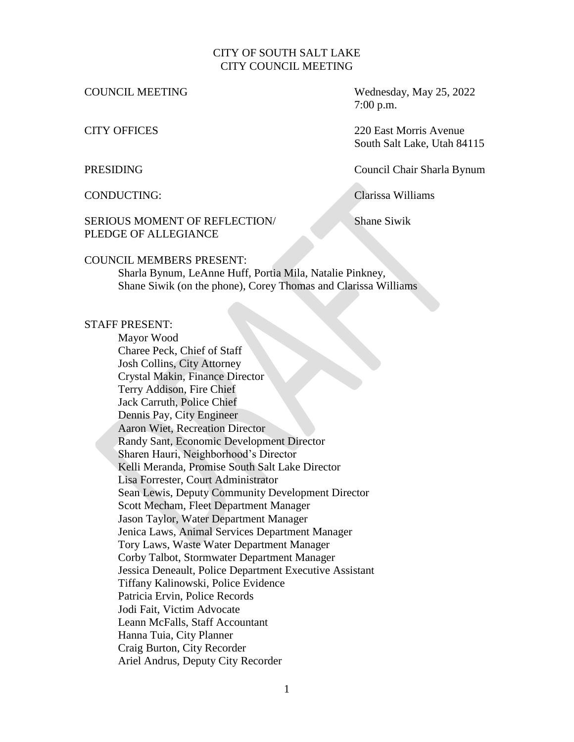#### CITY OF SOUTH SALT LAKE CITY COUNCIL MEETING

COUNCIL MEETING Wednesday, May 25, 2022 7:00 p.m.

CITY OFFICES 220 East Morris Avenue South Salt Lake, Utah 84115

PRESIDING Council Chair Sharla Bynum

CONDUCTING: Clarissa Williams

#### SERIOUS MOMENT OF REFLECTION/ Shane Siwik PLEDGE OF ALLEGIANCE

#### COUNCIL MEMBERS PRESENT:

Sharla Bynum, LeAnne Huff, Portia Mila, Natalie Pinkney, Shane Siwik (on the phone), Corey Thomas and Clarissa Williams

#### STAFF PRESENT:

Mayor Wood Charee Peck, Chief of Staff Josh Collins, City Attorney Crystal Makin, Finance Director Terry Addison, Fire Chief Jack Carruth, Police Chief Dennis Pay, City Engineer Aaron Wiet, Recreation Director Randy Sant, Economic Development Director Sharen Hauri, Neighborhood's Director Kelli Meranda, Promise South Salt Lake Director Lisa Forrester, Court Administrator Sean Lewis, Deputy Community Development Director Scott Mecham, Fleet Department Manager Jason Taylor, Water Department Manager Jenica Laws, Animal Services Department Manager Tory Laws, Waste Water Department Manager Corby Talbot, Stormwater Department Manager Jessica Deneault, Police Department Executive Assistant Tiffany Kalinowski, Police Evidence Patricia Ervin, Police Records Jodi Fait, Victim Advocate Leann McFalls, Staff Accountant Hanna Tuia, City Planner Craig Burton, City Recorder Ariel Andrus, Deputy City Recorder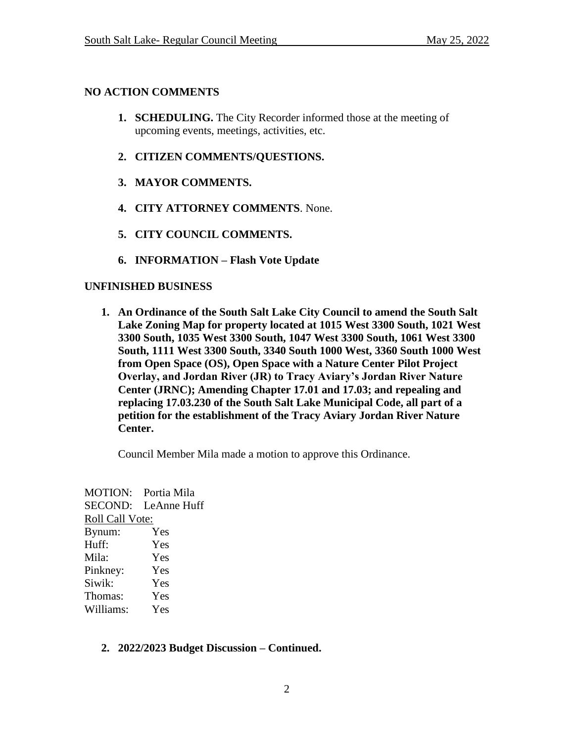# **NO ACTION COMMENTS**

- **1. SCHEDULING.** The City Recorder informed those at the meeting of upcoming events, meetings, activities, etc.
- **2. CITIZEN COMMENTS/QUESTIONS.**
- **3. MAYOR COMMENTS.**
- **4. CITY ATTORNEY COMMENTS**. None.
- **5. CITY COUNCIL COMMENTS.**
- **6. INFORMATION – Flash Vote Update**

# **UNFINISHED BUSINESS**

**1. An Ordinance of the South Salt Lake City Council to amend the South Salt Lake Zoning Map for property located at 1015 West 3300 South, 1021 West 3300 South, 1035 West 3300 South, 1047 West 3300 South, 1061 West 3300 South, 1111 West 3300 South, 3340 South 1000 West, 3360 South 1000 West from Open Space (OS), Open Space with a Nature Center Pilot Project Overlay, and Jordan River (JR) to Tracy Aviary's Jordan River Nature Center (JRNC); Amending Chapter 17.01 and 17.03; and repealing and replacing 17.03.230 of the South Salt Lake Municipal Code, all part of a petition for the establishment of the Tracy Aviary Jordan River Nature Center.** 

Council Member Mila made a motion to approve this Ordinance.

MOTION: Portia Mila SECOND: LeAnne Huff Roll Call Vote: Bynum: Yes Huff: Yes Mila: Yes Pinkney: Yes Siwik: Yes Thomas: Yes Williams: Yes

## **2. 2022/2023 Budget Discussion – Continued.**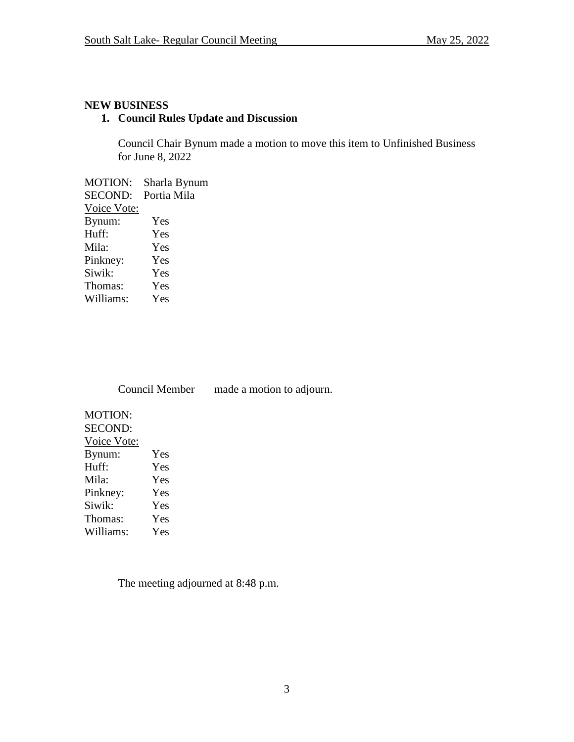## **NEW BUSINESS**

# **1. Council Rules Update and Discussion**

Council Chair Bynum made a motion to move this item to Unfinished Business for June 8, 2022

MOTION: Sharla Bynum SECOND: Portia Mila Voice Vote: Bynum: Yes Huff: Yes Mila: Yes Pinkney: Yes Siwik: Yes Thomas: Yes Williams: Yes

Council Member made a motion to adjourn.

| Yes |
|-----|
| Yes |
| Yes |
| Yes |
| Yes |
| Yes |
| Yes |
|     |

The meeting adjourned at 8:48 p.m.